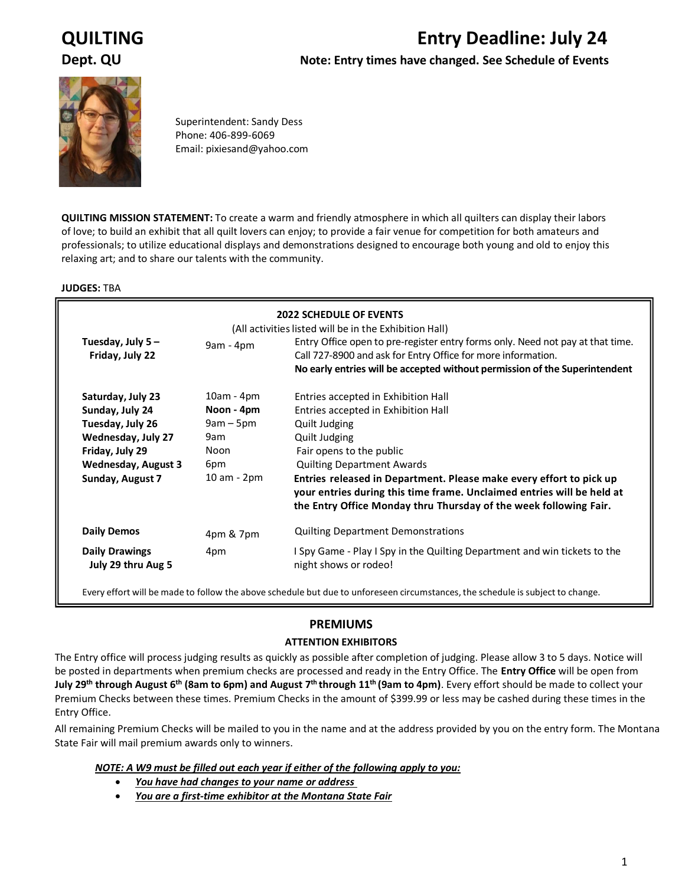# **QUILTING Entry Deadline: July 24**

**Dept. QU Note: Entry times have changed. See Schedule of Events**



Superintendent: Sandy Dess Phone: 406-899-6069 Email: pixiesand@yahoo.com

**QUILTING MISSION STATEMENT:** To create a warm and friendly atmosphere in which all quilters can display their labors of love; to build an exhibit that all quilt lovers can enjoy; to provide a fair venue for competition for both amateurs and professionals; to utilize educational displays and demonstrations designed to encourage both young and old to enjoy this relaxing art; and to share our talents with the community.

#### **JUDGES:** TBA

| <b>2022 SCHEDULE OF EVENTS</b><br>(All activities listed will be in the Exhibition Hall) |              |                                                                                                                                                                                                                              |  |  |  |
|------------------------------------------------------------------------------------------|--------------|------------------------------------------------------------------------------------------------------------------------------------------------------------------------------------------------------------------------------|--|--|--|
| Tuesday, July $5 -$<br>Friday, July 22                                                   | $9am - 4pm$  | Entry Office open to pre-register entry forms only. Need not pay at that time.<br>Call 727-8900 and ask for Entry Office for more information.<br>No early entries will be accepted without permission of the Superintendent |  |  |  |
| Saturday, July 23                                                                        | $10am - 4pm$ | Entries accepted in Exhibition Hall                                                                                                                                                                                          |  |  |  |
| Sunday, July 24                                                                          | Noon - 4pm   | Entries accepted in Exhibition Hall                                                                                                                                                                                          |  |  |  |
| Tuesday, July 26                                                                         | $9am - 5pm$  | Quilt Judging                                                                                                                                                                                                                |  |  |  |
| Wednesday, July 27                                                                       | 9am          | Quilt Judging                                                                                                                                                                                                                |  |  |  |
| Friday, July 29                                                                          | Noon         | Fair opens to the public                                                                                                                                                                                                     |  |  |  |
| <b>Wednesday, August 3</b>                                                               | 6pm          | <b>Quilting Department Awards</b>                                                                                                                                                                                            |  |  |  |
| Sunday, August 7                                                                         | 10 am - 2pm  | Entries released in Department. Please make every effort to pick up<br>your entries during this time frame. Unclaimed entries will be held at<br>the Entry Office Monday thru Thursday of the week following Fair.           |  |  |  |
| <b>Daily Demos</b>                                                                       | 4pm & 7pm    | <b>Quilting Department Demonstrations</b>                                                                                                                                                                                    |  |  |  |
| <b>Daily Drawings</b><br>July 29 thru Aug 5                                              | 4pm          | I Spy Game - Play I Spy in the Quilting Department and win tickets to the<br>night shows or rodeo!                                                                                                                           |  |  |  |

Every effort will be made to follow the above schedule but due to unforeseen circumstances, the schedule is subject to change.

#### **PREMIUMS**

#### **ATTENTION EXHIBITORS**

The Entry office will process judging results as quickly as possible after completion of judging. Please allow 3 to 5 days. Notice will be posted in departments when premium checks are processed and ready in the Entry Office. The **Entry Office** will be open from **July 29th through August 6 th (8am to 6pm) and August 7 th through 11 th (9am to 4pm)**. Every effort should be made to collect your Premium Checks between these times. Premium Checks in the amount of \$399.99 or less may be cashed during these times in the Entry Office.

All remaining Premium Checks will be mailed to you in the name and at the address provided by you on the entry form. The Montana State Fair will mail premium awards only to winners.

#### *NOTE: A W9 must be filled out each year if either of the following apply to you:*

- *You have had changes to your name or address*
- *You are a first-time exhibitor at the Montana State Fair*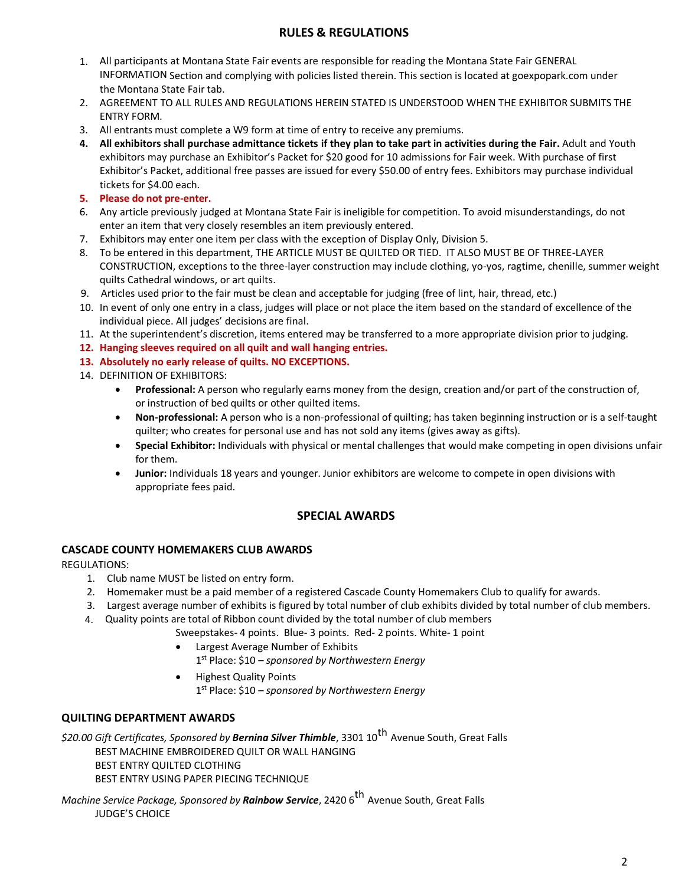### **RULES & REGULATIONS**

- 1. All participants at Montana State Fair events are responsible for reading the Montana State Fair GENERAL INFORMATION Section and complying with policies listed therein. This section is located at goexpopark.com under the Montana State Fair tab.
- 2. AGREEMENT TO ALL RULES AND REGULATIONS HEREIN STATED IS UNDERSTOOD WHEN THE EXHIBITOR SUBMITS THE ENTRY FORM.
- 3. All entrants must complete a W9 form at time of entry to receive any premiums.
- **4. All exhibitors shall purchase admittance tickets if they plan to take part in activities during the Fair.** Adult and Youth exhibitors may purchase an Exhibitor's Packet for \$20 good for 10 admissions for Fair week. With purchase of first Exhibitor's Packet, additional free passes are issued for every \$50.00 of entry fees. Exhibitors may purchase individual tickets for \$4.00 each.
- **5. Please do not pre-enter.**
- 6. Any article previously judged at Montana State Fair is ineligible for competition. To avoid misunderstandings, do not enter an item that very closely resembles an item previously entered.
- 7. Exhibitors may enter one item per class with the exception of Display Only, Division 5.
- 8. To be entered in this department, THE ARTICLE MUST BE QUILTED OR TIED. IT ALSO MUST BE OF THREE-LAYER CONSTRUCTION, exceptions to the three-layer construction may include clothing, yo-yos, ragtime, chenille, summer weight quilts Cathedral windows, or art quilts.
- 9. Articles used prior to the fair must be clean and acceptable for judging (free of lint, hair, thread, etc.)
- 10. In event of only one entry in a class, judges will place or not place the item based on the standard of excellence of the individual piece. All judges' decisions are final.
- 11. At the superintendent's discretion, items entered may be transferred to a more appropriate division prior to judging.
- **12. Hanging sleeves required on all quilt and wall hanging entries.**
- **13. Absolutely no early release of quilts. NO EXCEPTIONS.**
- 14. DEFINITION OF EXHIBITORS:
	- **Professional:** A person who regularly earns money from the design, creation and/or part of the construction of, or instruction of bed quilts or other quilted items.
	- **Non-professional:** A person who is a non-professional of quilting; has taken beginning instruction or is a self-taught quilter; who creates for personal use and has not sold any items (gives away as gifts).
	- **Special Exhibitor:** Individuals with physical or mental challenges that would make competing in open divisions unfair for them.
	- **Junior:** Individuals 18 years and younger. Junior exhibitors are welcome to compete in open divisions with appropriate fees paid.

#### **SPECIAL AWARDS**

#### **CASCADE COUNTY HOMEMAKERS CLUB AWARDS**

REGULATIONS:

- 1. Club name MUST be listed on entry form.
- 2. Homemaker must be a paid member of a registered Cascade County Homemakers Club to qualify for awards.
- 3. Largest average number of exhibits is figured by total number of club exhibits divided by total number of club members.
- 4. Quality points are total of Ribbon count divided by the total number of club members
	- Sweepstakes- 4 points. Blue- 3 points. Red- 2 points. White- 1 point
	- Largest Average Number of Exhibits
		- 1 st Place: \$10 *sponsored by Northwestern Energy*
	- Highest Quality Points 1 st Place: \$10 – *sponsored by Northwestern Energy*

#### **QUILTING DEPARTMENT AWARDS**

*\$20.00 Gift Certificates, Sponsored by Bernina Silver Thimble*, 3301 10 th Avenue South, Great Falls BEST MACHINE EMBROIDERED QUILT OR WALL HANGING BEST ENTRY QUILTED CLOTHING BEST ENTRY USING PAPER PIECING TECHNIQUE

*Machine Service Package, Sponsored by Rainbow Service*, 2420 6 th Avenue South, Great Falls JUDGE'S CHOICE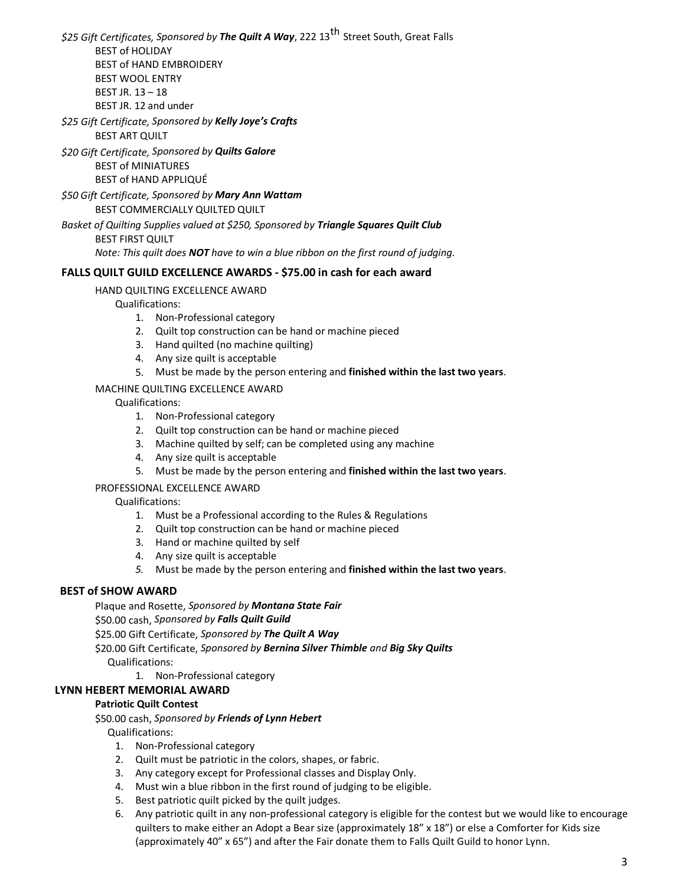*\$25 Gift Certificates, Sponsored by The Quilt A Way*, 222 13 th Street South, Great Falls BEST of HOLIDAY BEST of HAND EMBROIDERY BEST WOOL ENTRY BEST JR. 13 – 18

BEST JR. 12 and under

*\$25 Gift Certificate, Sponsored by Kelly Joye's Crafts* BEST ART QUILT

*\$20 Gift Certificate, Sponsored by Quilts Galore*

BEST of MINIATURES

BEST of HAND APPLIQUÉ

*\$50 Gift Certificate, Sponsored by Mary Ann Wattam*

BEST COMMERCIALLY QUILTED QUILT

*Basket of Quilting Supplies valued at \$250, Sponsored by Triangle Squares Quilt Club* BEST FIRST QUILT

*Note: This quilt does NOT have to win a blue ribbon on the first round of judging.*

#### **FALLS QUILT GUILD EXCELLENCE AWARDS - \$75.00 in cash for each award**

HAND QUILTING EXCELLENCE AWARD

Qualifications:

- 1. Non-Professional category
- 2. Quilt top construction can be hand or machine pieced
- 3. Hand quilted (no machine quilting)
- 4. Any size quilt is acceptable
- 5. Must be made by the person entering and **finished within the last two years**.

#### MACHINE QUILTING EXCELLENCE AWARD

Qualifications:

- 1. Non-Professional category
- 2. Quilt top construction can be hand or machine pieced
- 3. Machine quilted by self; can be completed using any machine
- 4. Any size quilt is acceptable
- 5. Must be made by the person entering and **finished within the last two years**.

#### PROFESSIONAL EXCELLENCE AWARD

Qualifications:

- 1. Must be a Professional according to the Rules & Regulations
- 2. Quilt top construction can be hand or machine pieced
- 3. Hand or machine quilted by self
- 4. Any size quilt is acceptable
- *5.* Must be made by the person entering and **finished within the last two years**.

#### **BEST of SHOW AWARD**

Plaque and Rosette, *Sponsored by Montana State Fair*

\$50.00 cash, *Sponsored by Falls Quilt Guild*

\$25.00 Gift Certificate, *Sponsored by The Quilt A Way*

\$20.00 Gift Certificate, *Sponsored by Bernina Silver Thimble and Big Sky Quilts*

Qualifications:

1. Non-Professional category

#### **LYNN HEBERT MEMORIAL AWARD**

#### **Patriotic Quilt Contest**

\$50.00 cash, *Sponsored by Friends of Lynn Hebert*

Qualifications:

- 1. Non-Professional category
- 2. Quilt must be patriotic in the colors, shapes, or fabric.
- 3. Any category except for Professional classes and Display Only.
- 4. Must win a blue ribbon in the first round of judging to be eligible.
- 5. Best patriotic quilt picked by the quilt judges.
- 6. Any patriotic quilt in any non-professional category is eligible for the contest but we would like to encourage quilters to make either an Adopt a Bear size (approximately 18" x 18") or else a Comforter for Kids size (approximately 40" x 65") and after the Fair donate them to Falls Quilt Guild to honor Lynn.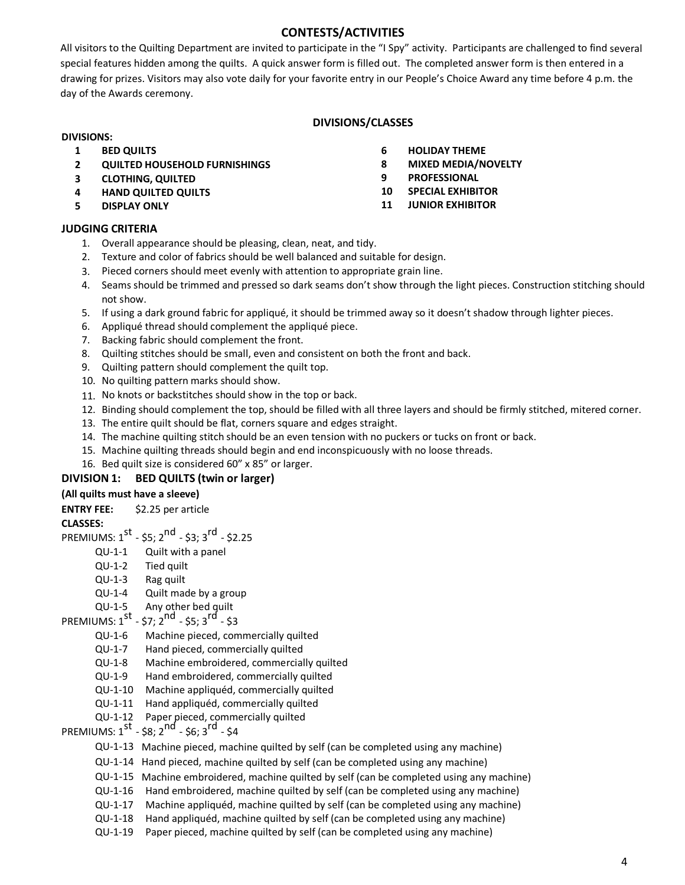#### **CONTESTS/ACTIVITIES**

All visitors to the Quilting Department are invited to participate in the "I Spy" activity. Participants are challenged to find several special features hidden among the quilts. A quick answer form is filled out. The completed answer form is then entered in a drawing for prizes. Visitors may also vote daily for your favorite entry in our People's Choice Award any time before 4 p.m. the day of the Awards ceremony.

#### **DIVISIONS/CLASSES**

#### **DIVISIONS:**

- **1 BED QUILTS**
- **2 QUILTED HOUSEHOLD FURNISHINGS**
- **3 CLOTHING, QUILTED**
- **4 HAND QUILTED QUILTS**
- **5 DISPLAY ONLY**

#### **JUDGING CRITERIA**

- 1. Overall appearance should be pleasing, clean, neat, and tidy.
- 2. Texture and color of fabrics should be well balanced and suitable for design.
- 3. Pieced corners should meet evenly with attention to appropriate grain line.
- 4. Seams should be trimmed and pressed so dark seams don't show through the light pieces. Construction stitching should not show.
- 5. If using a dark ground fabric for appliqué, it should be trimmed away so it doesn't shadow through lighter pieces.
- 6. Appliqué thread should complement the appliqué piece.
- 7. Backing fabric should complement the front.
- 8. Quilting stitches should be small, even and consistent on both the front and back.
- 9. Quilting pattern should complement the quilt top.
- 10. No quilting pattern marks should show.
- 11. No knots or backstitches should show in the top or back.
- 12. Binding should complement the top, should be filled with all three layers and should be firmly stitched, mitered corner.
- 13. The entire quilt should be flat, corners square and edges straight.
- 14. The machine quilting stitch should be an even tension with no puckers or tucks on front or back.
- 15. Machine quilting threads should begin and end inconspicuously with no loose threads.
- 16. Bed quilt size is considered 60" x 85" or larger.

#### **DIVISION 1: BED QUILTS (twin or larger)**

#### **(All quilts must have a sleeve)**

**ENTRY FEE:** \$2.25 per article

#### **CLASSES:**

- PREMIUMS: 1<sup>st</sup> \$5; 2<sup>nd</sup> \$3; 3<sup>rd</sup> \$2.25
	- QU-1-1 Quilt with a panel
	- QU-1-2 Tied quilt
	- QU-1-3 Rag quilt
	- QU-1-4 Quilt made by a group
	- QU-1-5 Any other bed quilt

## PREMIUMS:  $1^{st}$  - \$7;  $2^{nd}$  - \$5;  $3^{rd}$  - \$3

- QU-1-6 Machine pieced, commercially quilted
- QU-1-7 Hand pieced, commercially quilted
- QU-1-8 Machine embroidered, commercially quilted
- QU-1-9 Hand embroidered, commercially quilted
- QU-1-10 Machine appliquéd, commercially quilted
- QU-1-11 Hand appliquéd, commercially quilted
- QU-1-12 Paper pieced, commercially quilted
- PREMIUMS:  $1^{st}$  \$8;  $2^{nd}$  \$6;  $3^{rd}$  \$4
	- QU-1-13 Machine pieced, machine quilted by self (can be completed using any machine)
	- QU-1-14 Hand pieced, machine quilted by self (can be completed using any machine)
	- QU-1-15 Machine embroidered, machine quilted by self (can be completed using any machine)
	- QU-1-16 Hand embroidered, machine quilted by self (can be completed using any machine)
	- QU-1-17 Machine appliquéd, machine quilted by self (can be completed using any machine)
	- QU-1-18 Hand appliquéd, machine quilted by self (can be completed using any machine)
	- QU-1-19 Paper pieced, machine quilted by self (can be completed using any machine)

4

- **6 HOLIDAY THEME**
- **8 MIXED MEDIA/NOVELTY**
- **9 PROFESSIONAL**
- **10 SPECIAL EXHIBITOR**
- **11 JUNIOR EXHIBITOR**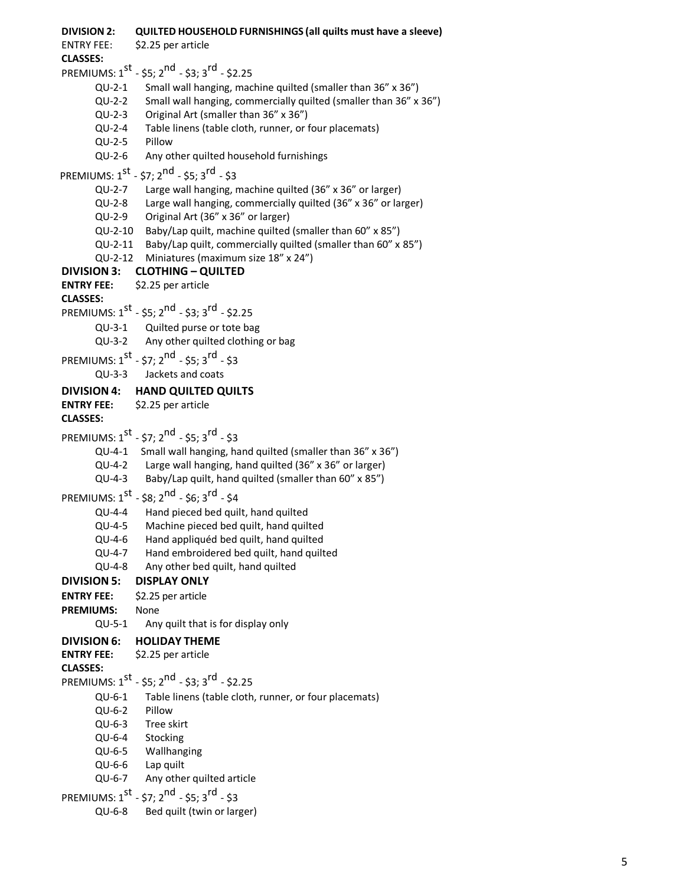| <b>DIVISION 2:</b>           | QUILTED HOUSEHOLD FURNISHINGS (all quilts must have a sleeve)         |
|------------------------------|-----------------------------------------------------------------------|
| <b>ENTRY FEE:</b>            | \$2.25 per article                                                    |
| <b>CLASSES:</b>              |                                                                       |
|                              | PREMIUMS: $1^{st}$ - \$5; $2^{nd}$ - \$3; $3^{rd}$ - \$2.25           |
| $QU-2-1$                     | Small wall hanging, machine quilted (smaller than 36" x 36")          |
| $QU-2-2$                     | Small wall hanging, commercially quilted (smaller than 36" x 36")     |
| $QU-2-3$                     | Original Art (smaller than 36" x 36")                                 |
| QU-2-4                       | Table linens (table cloth, runner, or four placemats)                 |
| $QU-2-5$                     | Pillow                                                                |
| $QU-2-6$                     | Any other quilted household furnishings                               |
|                              | PREMIUMS: $1^{st}$ - \$7; $2^{nd}$ - \$5; $3^{rd}$ - \$3              |
|                              | QU-2-7 Large wall hanging, machine quilted (36" x 36" or larger)      |
|                              | QU-2-8 Large wall hanging, commercially quilted (36" x 36" or larger) |
|                              | QU-2-9 Original Art (36" x 36" or larger)                             |
|                              | QU-2-10 Baby/Lap quilt, machine quilted (smaller than 60" x 85")      |
|                              | QU-2-11 Baby/Lap quilt, commercially quilted (smaller than 60" x 85") |
|                              | QU-2-12 Miniatures (maximum size 18" x 24")                           |
| <b>DIVISION 3:</b>           | <b>CLOTHING - QUILTED</b>                                             |
| <b>ENTRY FEE:</b>            | \$2.25 per article                                                    |
| <b>CLASSES:</b>              |                                                                       |
|                              | PREMIUMS: $1^{st}$ - \$5; $2^{nd}$ - \$3; $3^{rd}$ - \$2.25           |
|                              | QU-3-1 Quilted purse or tote bag                                      |
|                              | QU-3-2 Any other quilted clothing or bag                              |
|                              | PREMIUMS: $1^{st}$ - \$7; $2^{nd}$ - \$5; $3^{rd}$ - \$3              |
| $QU-3-3$                     | Jackets and coats                                                     |
| <b>DIVISION 4:</b>           | <b>HAND QUILTED QUILTS</b>                                            |
| <b>ENTRY FEE:</b>            | \$2.25 per article                                                    |
| <b>CLASSES:</b>              |                                                                       |
|                              |                                                                       |
|                              |                                                                       |
|                              | PREMIUMS: $1^{st}$ - \$7; $2^{nd}$ - \$5; $3^{rd}$ - \$3              |
|                              | QU-4-1 Small wall hanging, hand quilted (smaller than 36" x 36")      |
|                              | QU-4-2 Large wall hanging, hand quilted (36" x 36" or larger)         |
|                              | QU-4-3 Baby/Lap quilt, hand quilted (smaller than 60" x 85")          |
|                              | PREMIUMS: $1^{st}$ - \$8; $2^{nd}$ - \$6; $3^{rd}$ - \$4              |
| QU-4-4                       | Hand pieced bed quilt, hand quilted                                   |
|                              | QU-4-5 Machine pieced bed quilt, hand quilted                         |
| QU-4-6                       | Hand appliquéd bed quilt, hand quilted                                |
| QU-4-7                       | Hand embroidered bed quilt, hand quilted                              |
| QU-4-8                       | Any other bed quilt, hand quilted                                     |
| <b>DIVISION 5:</b>           | <b>DISPLAY ONLY</b>                                                   |
| <b>ENTRY FEE:</b>            | \$2.25 per article                                                    |
| <b>PREMIUMS:</b><br>$QU-5-1$ | None                                                                  |
|                              | Any quilt that is for display only                                    |
| <b>DIVISION 6:</b>           | <b>HOLIDAY THEME</b>                                                  |
| <b>ENTRY FEE:</b>            | \$2.25 per article                                                    |
| <b>CLASSES:</b>              |                                                                       |
|                              | PREMIUMS: $1^{st}$ - \$5; $2^{nd}$ - \$3; $3^{rd}$ - \$2.25           |
| QU-6-1                       | Table linens (table cloth, runner, or four placemats)<br>Pillow       |
| QU-6-2<br>QU-6-3             | Tree skirt                                                            |
| QU-6-4                       | Stocking                                                              |
| QU-6-5                       | Wallhanging                                                           |
| QU-6-6                       | Lap quilt                                                             |
| QU-6-7                       | Any other quilted article                                             |
|                              | PREMIUMS: $1^{st}$ - \$7; $2^{nd}$ - \$5; $3^{rd}$ - \$3              |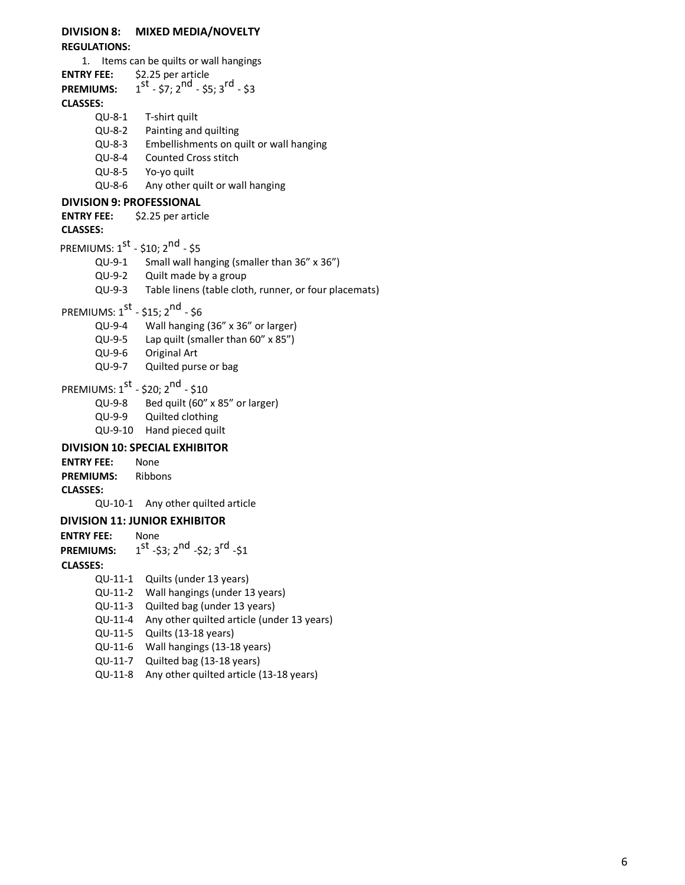#### **DIVISION 8: MIXED MEDIA/NOVELTY REGULATIONS:**

1. Items can be quilts or wall hangings **ENTRY FEE:** \$2.25 per article<br>**PREMIUMS:** 1<sup>st</sup> - \$7; 2<sup>nd</sup> - \$5; 3<sup>rd</sup> - \$3 **PREMIUMS: CLASSES:** QU-8-1 T-shirt quilt QU-8-2 Painting and quilting QU-8-3 Embellishments on quilt or wall hanging QU-8-4 Counted Cross stitch QU-8-5 Yo-yo quilt QU-8-6 Any other quilt or wall hanging **DIVISION 9: PROFESSIONAL ENTRY FEE:** \$2.25 per article **CLASSES:** PREMIUMS: 1<sup>st</sup> - \$10; 2<sup>nd</sup> - \$5 QU-9-1 Small wall hanging (smaller than 36" x 36") QU-9-2 Quilt made by a group QU-9-3 Table linens (table cloth, runner, or four placemats) PREMIUMS: 1<sup>st</sup> - \$15; 2<sup>nd</sup> - \$6 QU-9-4 Wall hanging (36" x 36" or larger) QU-9-5 Lap quilt (smaller than 60" x 85") QU-9-6 Original Art QU-9-7 Quilted purse or bag PREMIUMS: 1<sup>st</sup> - \$20; 2<sup>nd</sup> - \$10 QU-9-8 Bed quilt (60" x 85" or larger) QU-9-9 Quilted clothing QU-9-10 Hand pieced quilt **DIVISION 10: SPECIAL EXHIBITOR ENTRY FEE:** None **PREMIUMS:** Ribbons **CLASSES:** QU-10-1 Any other quilted article  **DIVISION 11: JUNIOR EXHIBITOR ENTRY FEE:** None **PREMIUMS:** <sup>st</sup> -\$3; 2<sup>nd</sup> -\$2; 3<sup>rd</sup> -\$1 **CLASSES:**  QU-11-1 Quilts (under 13 years) QU-11-2 Wall hangings (under 13 years) QU-11-3 Quilted bag (under 13 years) QU-11-4 Any other quilted article (under 13 years) QU-11-5 Quilts (13-18 years) QU-11-6 Wall hangings (13-18 years) QU-11-7 Quilted bag (13-18 years)

QU-11-8 Any other quilted article (13-18 years)